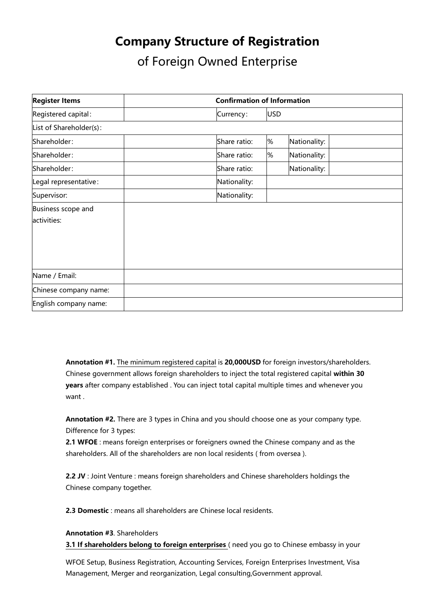## **Company Structure of Registration**

of Foreign Owned Enterprise

| <b>Register Items</b>             | <b>Confirmation of Information</b> |            |              |
|-----------------------------------|------------------------------------|------------|--------------|
| Registered capital:               | Currency:                          | <b>USD</b> |              |
| List of Shareholder(s):           |                                    |            |              |
| Shareholder:                      | Share ratio:                       | %          | Nationality: |
| Shareholder:                      | Share ratio:                       | %          | Nationality: |
| Shareholder:                      | Share ratio:                       |            | Nationality: |
| Legal representative:             | Nationality:                       |            |              |
| Supervisor:                       | Nationality:                       |            |              |
| Business scope and<br>activities: |                                    |            |              |
| Name / Email:                     |                                    |            |              |
| Chinese company name:             |                                    |            |              |
| English company name:             |                                    |            |              |

**Annotation #1.** The minimum registered capital is **20,000USD** for foreign investors/shareholders. Chinese government allows foreign shareholders to inject the total registered capital **within 30 years** after company established . You can inject total capital multiple times and whenever you want .

**Annotation #2.** There are 3 types in China and you should choose one as your company type. Difference for 3 types:

**2.1 WFOE** : means foreign enterprises or foreigners owned the Chinese company and as the shareholders. All of the shareholders are non local residents ( from oversea ).

**2.2 JV** : Joint Venture : means foreign shareholders and Chinese shareholders holdings the Chinese company together.

**2.3 Domestic** : means all shareholders are Chinese local residents.

### **Annotation #3**. Shareholders

**3.1 If shareholders belong to foreign enterprises** ( need you go to Chinese embassy in your

WFOE Setup, Business Registration, Accounting Services, Foreign Enterprises Investment, Visa Management, Merger and reorganization, Legal consulting,Government approval.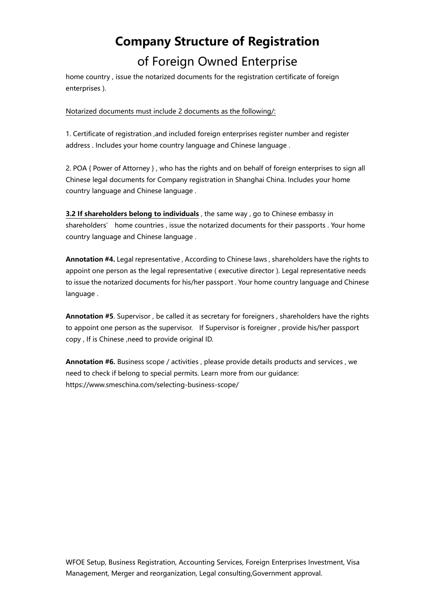# **Company Structure of Registration** of Foreign Owned Enterprise

home country , issue the notarized documents for the registration certificate of foreign enterprises ).

#### Notarized documents must include 2 documents as the following/:

1. Certificate of registration ,and included foreign enterprises register number and register address . Includes your home country language and Chinese language .

2. POA { Power of Attorney } , who has the rights and on behalf of foreign enterprises to sign all Chinese legal documents for Company registration in Shanghai China. Includes your home country language and Chinese language .

**3.2 If shareholders belong to individuals** , the same way , go to Chinese embassy in shareholders' home countries , issue the notarized documents for their passports . Your home country language and Chinese language .

**Annotation #4.** Legal representative , According to Chinese laws , shareholders have the rights to appoint one person as the legal representative ( executive director ). Legal representative needs to issue the notarized documents for his/her passport . Your home country language and Chinese language .

**Annotation #5**. Supervisor , be called it as secretary for foreigners , shareholders have the rights to appoint one person as the supervisor. If Supervisor is foreigner , provide his/her passport copy , If is Chinese ,need to provide original ID.

**Annotation #6.** Business scope / activities , please provide details products and services , we need to check if belong to special permits. Learn more from our guidance: https://www.smeschina.com/selecting-business-scope/